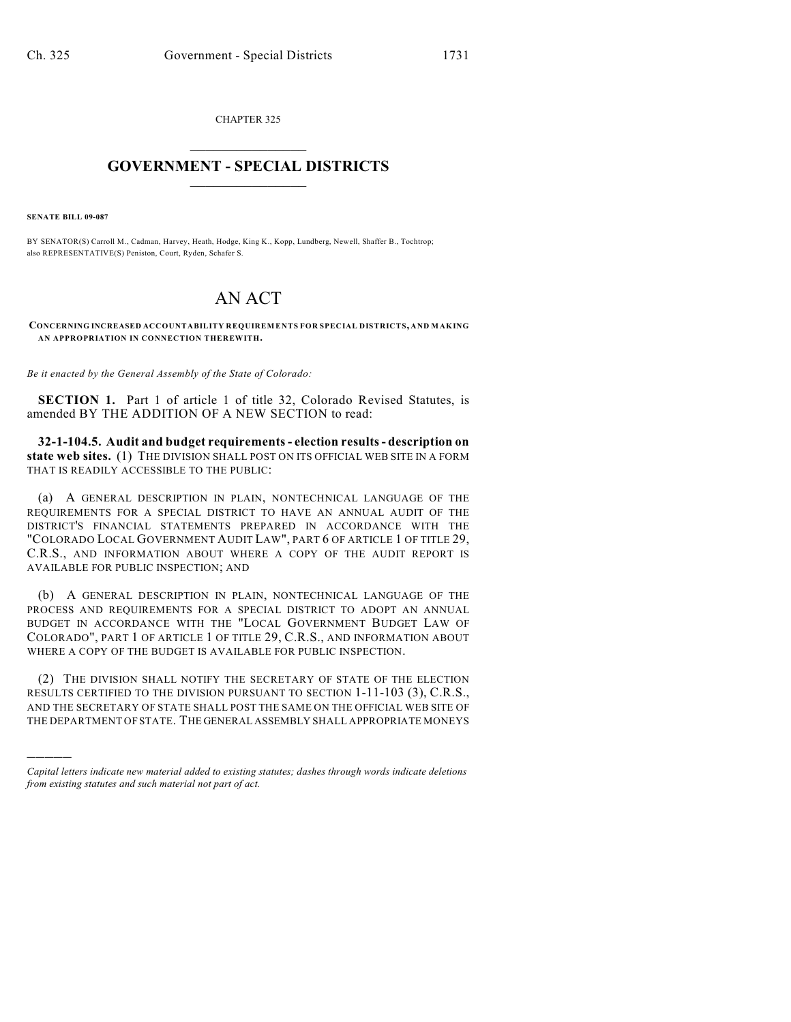CHAPTER 325  $\mathcal{L}_\text{max}$  . The set of the set of the set of the set of the set of the set of the set of the set of the set of the set of the set of the set of the set of the set of the set of the set of the set of the set of the set

## **GOVERNMENT - SPECIAL DISTRICTS**  $\_$   $\_$

**SENATE BILL 09-087**

)))))

BY SENATOR(S) Carroll M., Cadman, Harvey, Heath, Hodge, King K., Kopp, Lundberg, Newell, Shaffer B., Tochtrop; also REPRESENTATIVE(S) Peniston, Court, Ryden, Schafer S.

## AN ACT

**CONCERNING INCREASED ACCOUNTABILITY REQUIREMENTS FOR SPECIAL DISTRICTS, AND MAKING AN APPROPRIATION IN CONNECTION THEREWITH.**

*Be it enacted by the General Assembly of the State of Colorado:*

**SECTION 1.** Part 1 of article 1 of title 32, Colorado Revised Statutes, is amended BY THE ADDITION OF A NEW SECTION to read:

**32-1-104.5. Audit and budget requirements - election results - description on state web sites.** (1) THE DIVISION SHALL POST ON ITS OFFICIAL WEB SITE IN A FORM THAT IS READILY ACCESSIBLE TO THE PUBLIC:

(a) A GENERAL DESCRIPTION IN PLAIN, NONTECHNICAL LANGUAGE OF THE REQUIREMENTS FOR A SPECIAL DISTRICT TO HAVE AN ANNUAL AUDIT OF THE DISTRICT'S FINANCIAL STATEMENTS PREPARED IN ACCORDANCE WITH THE "COLORADO LOCAL GOVERNMENT AUDIT LAW", PART 6 OF ARTICLE 1 OF TITLE 29, C.R.S., AND INFORMATION ABOUT WHERE A COPY OF THE AUDIT REPORT IS AVAILABLE FOR PUBLIC INSPECTION; AND

(b) A GENERAL DESCRIPTION IN PLAIN, NONTECHNICAL LANGUAGE OF THE PROCESS AND REQUIREMENTS FOR A SPECIAL DISTRICT TO ADOPT AN ANNUAL BUDGET IN ACCORDANCE WITH THE "LOCAL GOVERNMENT BUDGET LAW OF COLORADO", PART 1 OF ARTICLE 1 OF TITLE 29, C.R.S., AND INFORMATION ABOUT WHERE A COPY OF THE BUDGET IS AVAILABLE FOR PUBLIC INSPECTION.

(2) THE DIVISION SHALL NOTIFY THE SECRETARY OF STATE OF THE ELECTION RESULTS CERTIFIED TO THE DIVISION PURSUANT TO SECTION 1-11-103 (3), C.R.S., AND THE SECRETARY OF STATE SHALL POST THE SAME ON THE OFFICIAL WEB SITE OF THE DEPARTMENT OF STATE. THE GENERAL ASSEMBLY SHALL APPROPRIATE MONEYS

*Capital letters indicate new material added to existing statutes; dashes through words indicate deletions from existing statutes and such material not part of act.*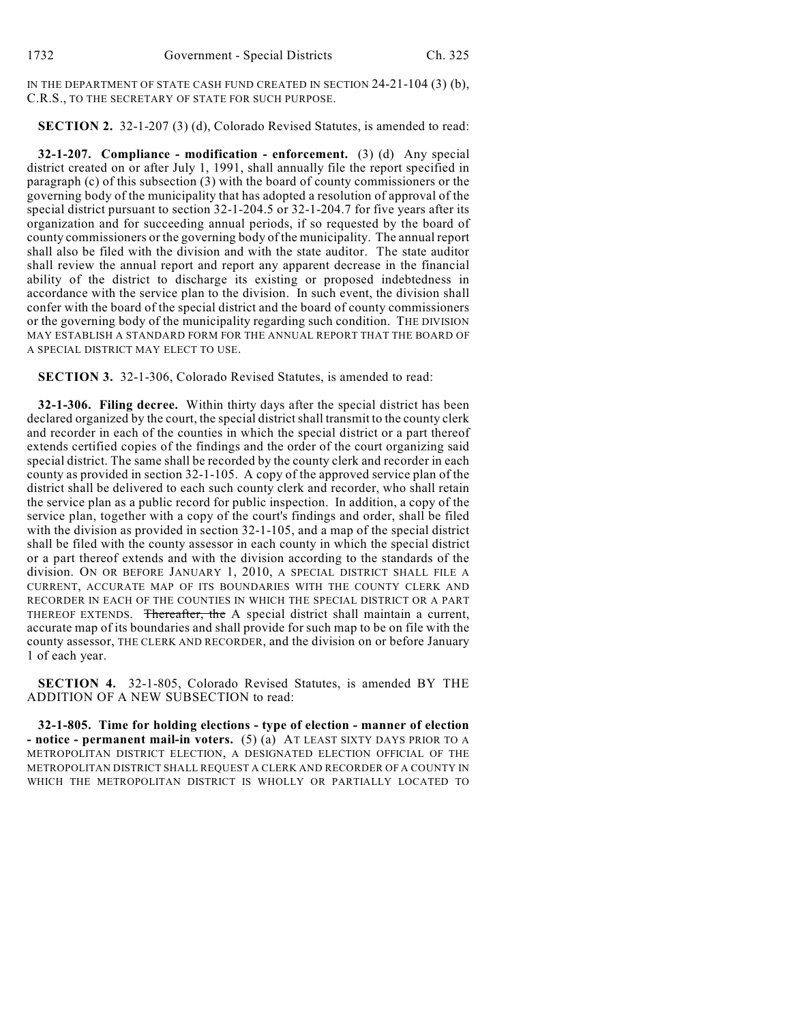IN THE DEPARTMENT OF STATE CASH FUND CREATED IN SECTION 24-21-104 (3) (b), C.R.S., TO THE SECRETARY OF STATE FOR SUCH PURPOSE.

## **SECTION 2.** 32-1-207 (3) (d), Colorado Revised Statutes, is amended to read:

**32-1-207. Compliance - modification - enforcement.** (3) (d) Any special district created on or after July 1, 1991, shall annually file the report specified in paragraph (c) of this subsection (3) with the board of county commissioners or the governing body of the municipality that has adopted a resolution of approval of the special district pursuant to section 32-1-204.5 or 32-1-204.7 for five years after its organization and for succeeding annual periods, if so requested by the board of county commissioners or the governing body of the municipality. The annual report shall also be filed with the division and with the state auditor. The state auditor shall review the annual report and report any apparent decrease in the financial ability of the district to discharge its existing or proposed indebtedness in accordance with the service plan to the division. In such event, the division shall confer with the board of the special district and the board of county commissioners or the governing body of the municipality regarding such condition. THE DIVISION MAY ESTABLISH A STANDARD FORM FOR THE ANNUAL REPORT THAT THE BOARD OF A SPECIAL DISTRICT MAY ELECT TO USE.

**SECTION 3.** 32-1-306, Colorado Revised Statutes, is amended to read:

**32-1-306. Filing decree.** Within thirty days after the special district has been declared organized by the court, the special district shall transmit to the county clerk and recorder in each of the counties in which the special district or a part thereof extends certified copies of the findings and the order of the court organizing said special district. The same shall be recorded by the county clerk and recorder in each county as provided in section 32-1-105. A copy of the approved service plan of the district shall be delivered to each such county clerk and recorder, who shall retain the service plan as a public record for public inspection. In addition, a copy of the service plan, together with a copy of the court's findings and order, shall be filed with the division as provided in section 32-1-105, and a map of the special district shall be filed with the county assessor in each county in which the special district or a part thereof extends and with the division according to the standards of the division. ON OR BEFORE JANUARY 1, 2010, A SPECIAL DISTRICT SHALL FILE A CURRENT, ACCURATE MAP OF ITS BOUNDARIES WITH THE COUNTY CLERK AND RECORDER IN EACH OF THE COUNTIES IN WHICH THE SPECIAL DISTRICT OR A PART THEREOF EXTENDS. Thereafter, the A special district shall maintain a current, accurate map of its boundaries and shall provide for such map to be on file with the county assessor, THE CLERK AND RECORDER, and the division on or before January 1 of each year.

**SECTION 4.** 32-1-805, Colorado Revised Statutes, is amended BY THE ADDITION OF A NEW SUBSECTION to read:

**32-1-805. Time for holding elections - type of election - manner of election - notice - permanent mail-in voters.** (5) (a) AT LEAST SIXTY DAYS PRIOR TO A METROPOLITAN DISTRICT ELECTION, A DESIGNATED ELECTION OFFICIAL OF THE METROPOLITAN DISTRICT SHALL REQUEST A CLERK AND RECORDER OF A COUNTY IN WHICH THE METROPOLITAN DISTRICT IS WHOLLY OR PARTIALLY LOCATED TO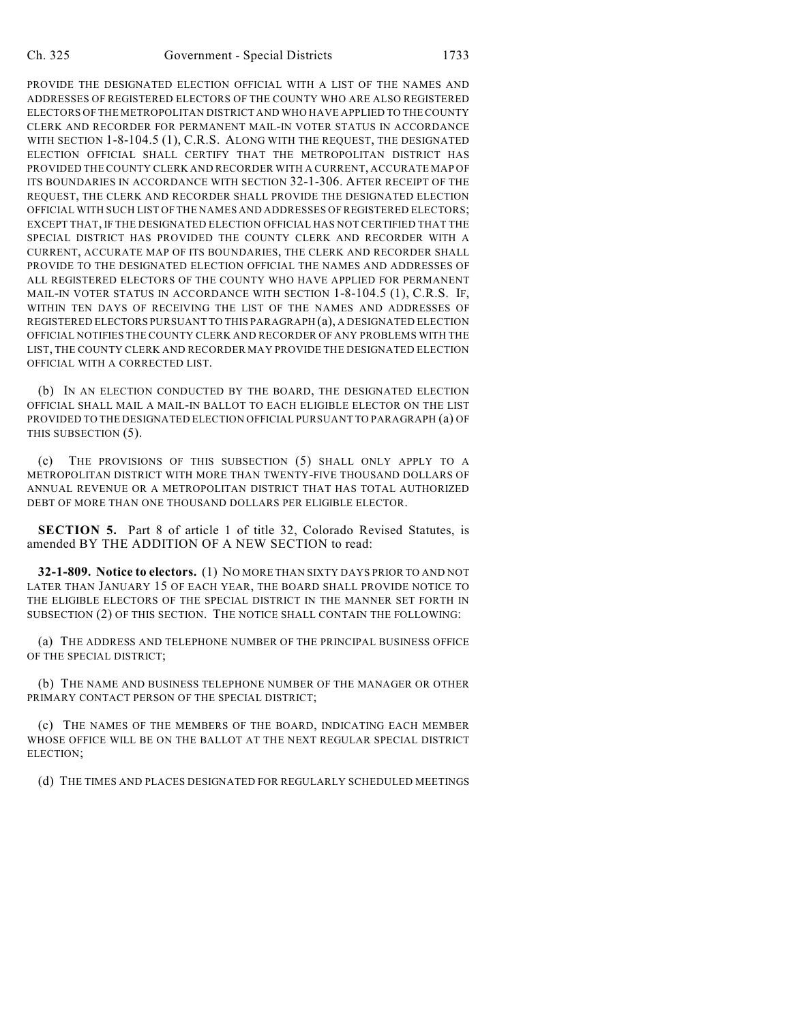PROVIDE THE DESIGNATED ELECTION OFFICIAL WITH A LIST OF THE NAMES AND ADDRESSES OF REGISTERED ELECTORS OF THE COUNTY WHO ARE ALSO REGISTERED ELECTORS OF THE METROPOLITAN DISTRICT AND WHO HAVE APPLIED TO THE COUNTY CLERK AND RECORDER FOR PERMANENT MAIL-IN VOTER STATUS IN ACCORDANCE WITH SECTION 1-8-104.5 (1), C.R.S. ALONG WITH THE REQUEST, THE DESIGNATED ELECTION OFFICIAL SHALL CERTIFY THAT THE METROPOLITAN DISTRICT HAS PROVIDED THE COUNTY CLERK AND RECORDER WITH A CURRENT, ACCURATE MAP OF ITS BOUNDARIES IN ACCORDANCE WITH SECTION 32-1-306. AFTER RECEIPT OF THE REQUEST, THE CLERK AND RECORDER SHALL PROVIDE THE DESIGNATED ELECTION OFFICIAL WITH SUCH LIST OFTHE NAMES AND ADDRESSES OF REGISTERED ELECTORS; EXCEPT THAT, IF THE DESIGNATED ELECTION OFFICIAL HAS NOT CERTIFIED THAT THE SPECIAL DISTRICT HAS PROVIDED THE COUNTY CLERK AND RECORDER WITH A CURRENT, ACCURATE MAP OF ITS BOUNDARIES, THE CLERK AND RECORDER SHALL PROVIDE TO THE DESIGNATED ELECTION OFFICIAL THE NAMES AND ADDRESSES OF ALL REGISTERED ELECTORS OF THE COUNTY WHO HAVE APPLIED FOR PERMANENT MAIL-IN VOTER STATUS IN ACCORDANCE WITH SECTION 1-8-104.5 (1), C.R.S. IF, WITHIN TEN DAYS OF RECEIVING THE LIST OF THE NAMES AND ADDRESSES OF REGISTERED ELECTORS PURSUANT TO THIS PARAGRAPH (a), A DESIGNATED ELECTION OFFICIAL NOTIFIES THE COUNTY CLERK AND RECORDER OF ANY PROBLEMS WITH THE LIST, THE COUNTY CLERK AND RECORDER MAY PROVIDE THE DESIGNATED ELECTION OFFICIAL WITH A CORRECTED LIST.

(b) IN AN ELECTION CONDUCTED BY THE BOARD, THE DESIGNATED ELECTION OFFICIAL SHALL MAIL A MAIL-IN BALLOT TO EACH ELIGIBLE ELECTOR ON THE LIST PROVIDED TO THE DESIGNATED ELECTION OFFICIAL PURSUANT TO PARAGRAPH (a) OF THIS SUBSECTION (5).

(c) THE PROVISIONS OF THIS SUBSECTION (5) SHALL ONLY APPLY TO A METROPOLITAN DISTRICT WITH MORE THAN TWENTY-FIVE THOUSAND DOLLARS OF ANNUAL REVENUE OR A METROPOLITAN DISTRICT THAT HAS TOTAL AUTHORIZED DEBT OF MORE THAN ONE THOUSAND DOLLARS PER ELIGIBLE ELECTOR.

**SECTION 5.** Part 8 of article 1 of title 32, Colorado Revised Statutes, is amended BY THE ADDITION OF A NEW SECTION to read:

**32-1-809. Notice to electors.** (1) NO MORE THAN SIXTY DAYS PRIOR TO AND NOT LATER THAN JANUARY 15 OF EACH YEAR, THE BOARD SHALL PROVIDE NOTICE TO THE ELIGIBLE ELECTORS OF THE SPECIAL DISTRICT IN THE MANNER SET FORTH IN SUBSECTION (2) OF THIS SECTION. THE NOTICE SHALL CONTAIN THE FOLLOWING:

(a) THE ADDRESS AND TELEPHONE NUMBER OF THE PRINCIPAL BUSINESS OFFICE OF THE SPECIAL DISTRICT;

(b) THE NAME AND BUSINESS TELEPHONE NUMBER OF THE MANAGER OR OTHER PRIMARY CONTACT PERSON OF THE SPECIAL DISTRICT;

(c) THE NAMES OF THE MEMBERS OF THE BOARD, INDICATING EACH MEMBER WHOSE OFFICE WILL BE ON THE BALLOT AT THE NEXT REGULAR SPECIAL DISTRICT ELECTION;

(d) THE TIMES AND PLACES DESIGNATED FOR REGULARLY SCHEDULED MEETINGS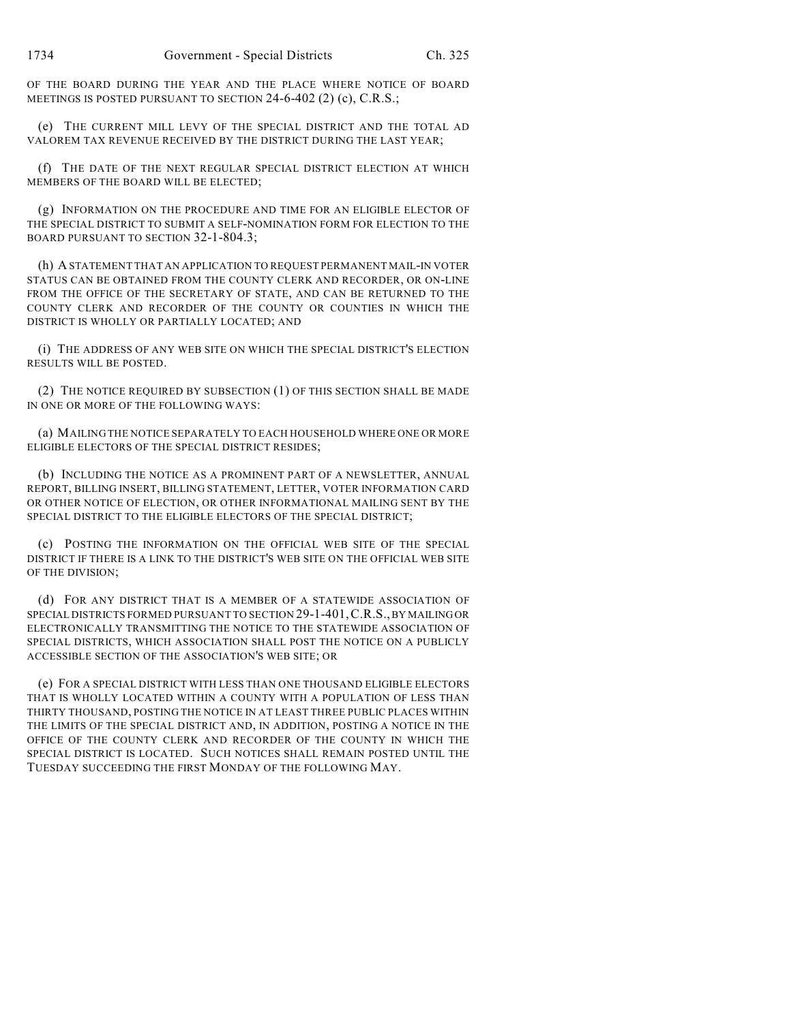OF THE BOARD DURING THE YEAR AND THE PLACE WHERE NOTICE OF BOARD MEETINGS IS POSTED PURSUANT TO SECTION 24-6-402 (2) (c), C.R.S.;

(e) THE CURRENT MILL LEVY OF THE SPECIAL DISTRICT AND THE TOTAL AD VALOREM TAX REVENUE RECEIVED BY THE DISTRICT DURING THE LAST YEAR;

(f) THE DATE OF THE NEXT REGULAR SPECIAL DISTRICT ELECTION AT WHICH MEMBERS OF THE BOARD WILL BE ELECTED;

(g) INFORMATION ON THE PROCEDURE AND TIME FOR AN ELIGIBLE ELECTOR OF THE SPECIAL DISTRICT TO SUBMIT A SELF-NOMINATION FORM FOR ELECTION TO THE BOARD PURSUANT TO SECTION 32-1-804.3;

(h) A STATEMENT THAT AN APPLICATION TO REQUEST PERMANENT MAIL-IN VOTER STATUS CAN BE OBTAINED FROM THE COUNTY CLERK AND RECORDER, OR ON-LINE FROM THE OFFICE OF THE SECRETARY OF STATE, AND CAN BE RETURNED TO THE COUNTY CLERK AND RECORDER OF THE COUNTY OR COUNTIES IN WHICH THE DISTRICT IS WHOLLY OR PARTIALLY LOCATED; AND

(i) THE ADDRESS OF ANY WEB SITE ON WHICH THE SPECIAL DISTRICT'S ELECTION RESULTS WILL BE POSTED.

(2) THE NOTICE REQUIRED BY SUBSECTION (1) OF THIS SECTION SHALL BE MADE IN ONE OR MORE OF THE FOLLOWING WAYS:

(a) MAILING THE NOTICE SEPARATELY TO EACH HOUSEHOLD WHERE ONE OR MORE ELIGIBLE ELECTORS OF THE SPECIAL DISTRICT RESIDES;

(b) INCLUDING THE NOTICE AS A PROMINENT PART OF A NEWSLETTER, ANNUAL REPORT, BILLING INSERT, BILLING STATEMENT, LETTER, VOTER INFORMATION CARD OR OTHER NOTICE OF ELECTION, OR OTHER INFORMATIONAL MAILING SENT BY THE SPECIAL DISTRICT TO THE ELIGIBLE ELECTORS OF THE SPECIAL DISTRICT;

(c) POSTING THE INFORMATION ON THE OFFICIAL WEB SITE OF THE SPECIAL DISTRICT IF THERE IS A LINK TO THE DISTRICT'S WEB SITE ON THE OFFICIAL WEB SITE OF THE DIVISION;

(d) FOR ANY DISTRICT THAT IS A MEMBER OF A STATEWIDE ASSOCIATION OF SPECIAL DISTRICTS FORMED PURSUANT TO SECTION 29-1-401,C.R.S., BY MAILING OR ELECTRONICALLY TRANSMITTING THE NOTICE TO THE STATEWIDE ASSOCIATION OF SPECIAL DISTRICTS, WHICH ASSOCIATION SHALL POST THE NOTICE ON A PUBLICLY ACCESSIBLE SECTION OF THE ASSOCIATION'S WEB SITE; OR

(e) FOR A SPECIAL DISTRICT WITH LESS THAN ONE THOUSAND ELIGIBLE ELECTORS THAT IS WHOLLY LOCATED WITHIN A COUNTY WITH A POPULATION OF LESS THAN THIRTY THOUSAND, POSTING THE NOTICE IN AT LEAST THREE PUBLIC PLACES WITHIN THE LIMITS OF THE SPECIAL DISTRICT AND, IN ADDITION, POSTING A NOTICE IN THE OFFICE OF THE COUNTY CLERK AND RECORDER OF THE COUNTY IN WHICH THE SPECIAL DISTRICT IS LOCATED. SUCH NOTICES SHALL REMAIN POSTED UNTIL THE TUESDAY SUCCEEDING THE FIRST MONDAY OF THE FOLLOWING MAY.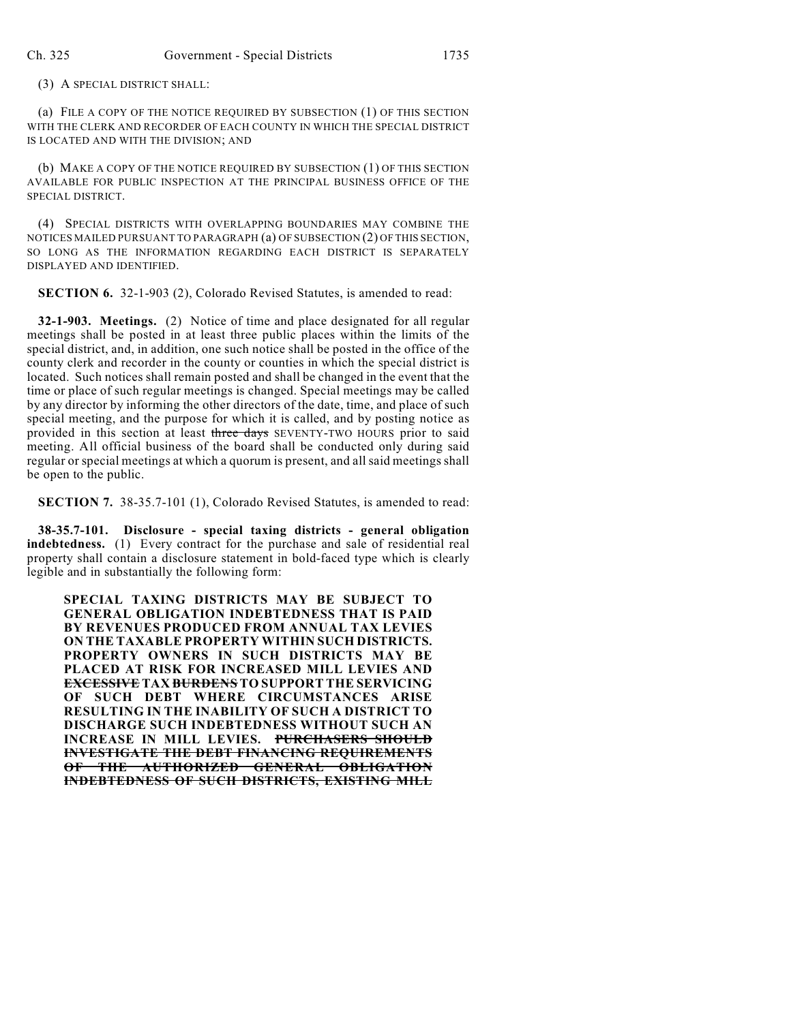(3) A SPECIAL DISTRICT SHALL:

(a) FILE A COPY OF THE NOTICE REQUIRED BY SUBSECTION (1) OF THIS SECTION WITH THE CLERK AND RECORDER OF EACH COUNTY IN WHICH THE SPECIAL DISTRICT IS LOCATED AND WITH THE DIVISION; AND

(b) MAKE A COPY OF THE NOTICE REQUIRED BY SUBSECTION (1) OF THIS SECTION AVAILABLE FOR PUBLIC INSPECTION AT THE PRINCIPAL BUSINESS OFFICE OF THE SPECIAL DISTRICT.

(4) SPECIAL DISTRICTS WITH OVERLAPPING BOUNDARIES MAY COMBINE THE NOTICES MAILED PURSUANT TO PARAGRAPH (a) OF SUBSECTION (2) OF THIS SECTION, SO LONG AS THE INFORMATION REGARDING EACH DISTRICT IS SEPARATELY DISPLAYED AND IDENTIFIED.

**SECTION 6.** 32-1-903 (2), Colorado Revised Statutes, is amended to read:

**32-1-903. Meetings.** (2) Notice of time and place designated for all regular meetings shall be posted in at least three public places within the limits of the special district, and, in addition, one such notice shall be posted in the office of the county clerk and recorder in the county or counties in which the special district is located. Such notices shall remain posted and shall be changed in the event that the time or place of such regular meetings is changed. Special meetings may be called by any director by informing the other directors of the date, time, and place of such special meeting, and the purpose for which it is called, and by posting notice as provided in this section at least three days SEVENTY-TWO HOURS prior to said meeting. All official business of the board shall be conducted only during said regular or special meetings at which a quorum is present, and all said meetings shall be open to the public.

**SECTION 7.** 38-35.7-101 (1), Colorado Revised Statutes, is amended to read:

**38-35.7-101. Disclosure - special taxing districts - general obligation indebtedness.** (1) Every contract for the purchase and sale of residential real property shall contain a disclosure statement in bold-faced type which is clearly legible and in substantially the following form:

**SPECIAL TAXING DISTRICTS MAY BE SUBJECT TO GENERAL OBLIGATION INDEBTEDNESS THAT IS PAID BY REVENUES PRODUCED FROM ANNUAL TAX LEVIES ON THE TAXABLE PROPERTY WITHIN SUCH DISTRICTS. PROPERTY OWNERS IN SUCH DISTRICTS MAY BE PLACED AT RISK FOR INCREASED MILL LEVIES AND EXCESSIVE TAX BURDENS TO SUPPORT THE SERVICING OF SUCH DEBT WHERE CIRCUMSTANCES ARISE RESULTING IN THE INABILITY OF SUCH A DISTRICT TO DISCHARGE SUCH INDEBTEDNESS WITHOUT SUCH AN INCREASE IN MILL LEVIES. PURCHASERS SHOULD INVESTIGATE THE DEBT FINANCING REQUIREMENTS OF THE AUTHORIZED GENERAL OBLIGATION INDEBTEDNESS OF SUCH DISTRICTS, EXISTING MILL**